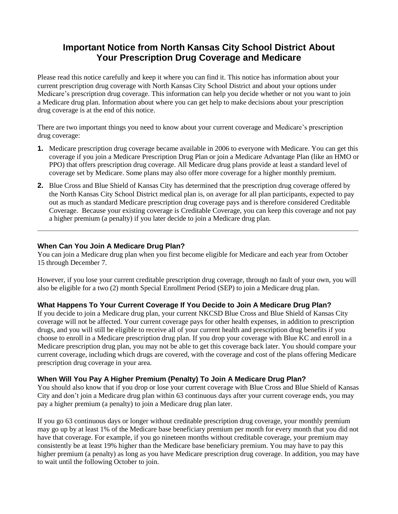# **Important Notice from North Kansas City School District About Your Prescription Drug Coverage and Medicare**

Please read this notice carefully and keep it where you can find it. This notice has information about your current prescription drug coverage with North Kansas City School District and about your options under Medicare's prescription drug coverage. This information can help you decide whether or not you want to join a Medicare drug plan. Information about where you can get help to make decisions about your prescription drug coverage is at the end of this notice.

There are two important things you need to know about your current coverage and Medicare's prescription drug coverage:

- **1.** Medicare prescription drug coverage became available in 2006 to everyone with Medicare. You can get this coverage if you join a Medicare Prescription Drug Plan or join a Medicare Advantage Plan (like an HMO or PPO) that offers prescription drug coverage. All Medicare drug plans provide at least a standard level of coverage set by Medicare. Some plans may also offer more coverage for a higher monthly premium.
- **2.** Blue Cross and Blue Shield of Kansas City has determined that the prescription drug coverage offered by the North Kansas City School District medical plan is, on average for all plan participants, expected to pay out as much as standard Medicare prescription drug coverage pays and is therefore considered Creditable Coverage. Because your existing coverage is Creditable Coverage, you can keep this coverage and not pay a higher premium (a penalty) if you later decide to join a Medicare drug plan.

**\_\_\_\_\_\_\_\_\_\_\_\_\_\_\_\_\_\_\_\_\_\_\_\_\_\_\_\_\_\_\_\_\_\_\_\_\_\_\_\_\_\_\_\_\_\_\_\_\_\_\_\_\_\_\_\_\_\_\_\_\_\_\_\_\_\_\_\_\_\_\_\_\_\_**

# **When Can You Join A Medicare Drug Plan?**

You can join a Medicare drug plan when you first become eligible for Medicare and each year from October 15 through December 7.

However, if you lose your current creditable prescription drug coverage, through no fault of your own, you will also be eligible for a two (2) month Special Enrollment Period (SEP) to join a Medicare drug plan.

# **What Happens To Your Current Coverage If You Decide to Join A Medicare Drug Plan?**

If you decide to join a Medicare drug plan, your current NKCSD Blue Cross and Blue Shield of Kansas City coverage will not be affected. Your current coverage pays for other health expenses, in addition to prescription drugs, and you will still be eligible to receive all of your current health and prescription drug benefits if you choose to enroll in a Medicare prescription drug plan. If you drop your coverage with Blue KC and enroll in a Medicare prescription drug plan, you may not be able to get this coverage back later. You should compare your current coverage, including which drugs are covered, with the coverage and cost of the plans offering Medicare prescription drug coverage in your area.

# **When Will You Pay A Higher Premium (Penalty) To Join A Medicare Drug Plan?**

You should also know that if you drop or lose your current coverage with Blue Cross and Blue Shield of Kansas City and don't join a Medicare drug plan within 63 continuous days after your current coverage ends, you may pay a higher premium (a penalty) to join a Medicare drug plan later.

If you go 63 continuous days or longer without creditable prescription drug coverage, your monthly premium may go up by at least 1% of the Medicare base beneficiary premium per month for every month that you did not have that coverage. For example, if you go nineteen months without creditable coverage, your premium may consistently be at least 19% higher than the Medicare base beneficiary premium. You may have to pay this higher premium (a penalty) as long as you have Medicare prescription drug coverage. In addition, you may have to wait until the following October to join.